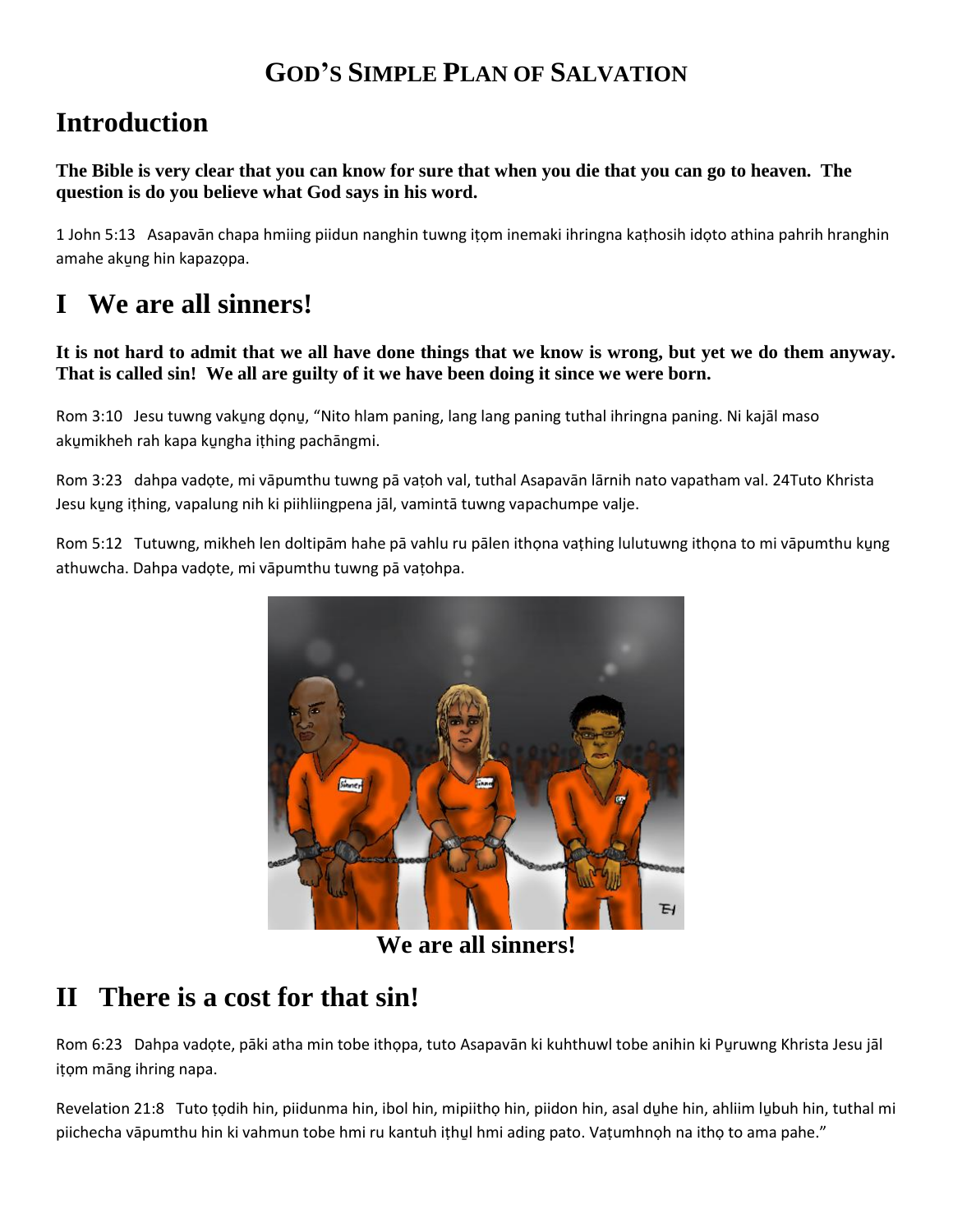#### **GOD'S SIMPLE PLAN OF SALVATION**

## **Introduction**

**The Bible is very clear that you can know for sure that when you die that you can go to heaven. The question is do you believe what God says in his word.**

1 John 5:13 Asapavān chapa hmiing piidun nanghin tuwng iṭọm inemaki ihringna kaṭhosih idọto athina pahrih hranghin amahe akung hin kapazọpa.

## **I We are all sinners!**

**It is not hard to admit that we all have done things that we know is wrong, but yet we do them anyway. That is called sin! We all are guilty of it we have been doing it since we were born.**

Rom 3:10 Jesu tuwng vaku̯ng do̞nu̯, "Nito hlam paning, lang lang paning tuthal ihringna paning. Ni kajāl maso akumikheh rah kapa kungha ithing pachāngmi.

Rom 3:23 dahpa vadọte, mi vāpumthu tuwng pā vaṭoh val, tuthal Asapavān lārnih nato vapatham val. 24Tuto Khrista Jesu ku̱ng iṭhing, vapalung nih ki piihliingpena jāl, vamintā tuwng vapachumpe valje.

Rom 5:12 Tutuwng, mikheh len doltipām hahe pā vahlu ru pālen ithọna vaṭhing lulutuwng ithọna to mi vāpumthu kụng athuwcha. Dahpa vadọte, mi vāpumthu tuwng pā vaṭohpa.



**We are all sinners!**

# **II There is a cost for that sin!**

Rom 6:23 Dahpa vadọte, pāki atha min tobe ithọpa, tuto Asapavān ki kuhthuwl tobe anihin ki Pu̱ruwng Khrista Jesu jāl iṭọm māng ihring napa.

Revelation 21:8 Tuto ṭọdih hin, piidunma hin, ibol hin, mipiithọ hin, piidon hin, asal du̱he hin, ahliim lu̱buh hin, tuthal mi piichecha vāpumthu hin ki vahmun tobe hmi ru kantuh ithul hmi ading pato. Vatumhnoh na itho to ama pahe."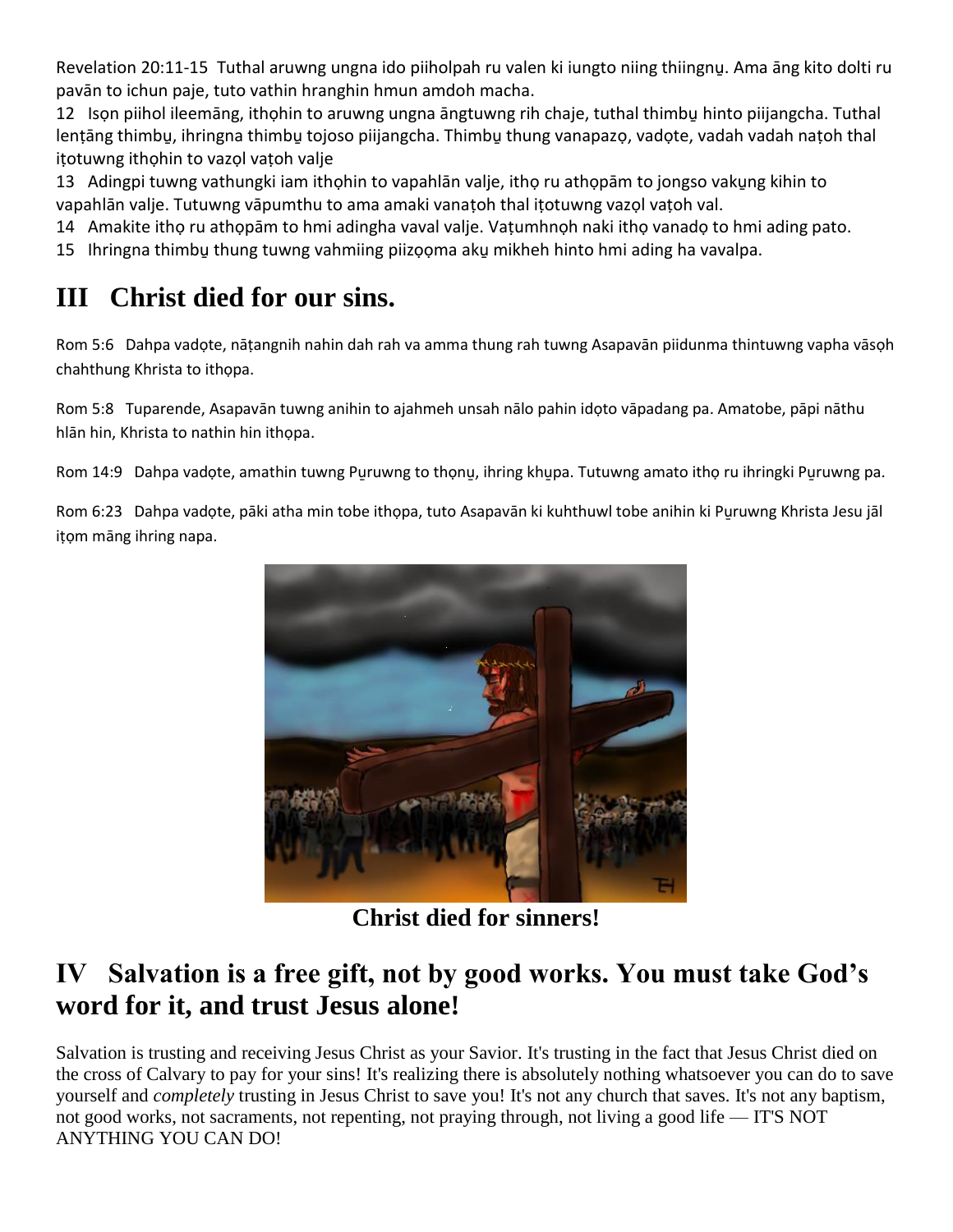Revelation 20:11-15 Tuthal aruwng ungna ido piiholpah ru valen ki iungto niing thiingnu̱. Ama āng kito dolti ru pavān to ichun paje, tuto vathin hranghin hmun amdoh macha.

12 Ison piihol ileemāng, ithohin to aruwng ungna āngtuwng rih chaje, tuthal thimbu hinto piijangcha. Tuthal lenṭāng thimbu, ihringna thimbu tojoso piijangcha. Thimbu thung vanapazọ, vadọte, vadah vadah naṭoh thal itotuwng ithohin to vazol vatoh valje

13 Adingpi tuwng vathungki iam ithohin to vapahlān valje, itho ru athopām to jongso vakung kihin to vapahlān valje. Tutuwng vāpumthu to ama amaki vanaṭoh thal iṭotuwng vazọl vaṭoh val.

14 Amakite ithọ ru athọpām to hmi adingha vaval valje. Vaṭumhnọh naki ithọ vanadọ to hmi ading pato.

15 Ihringna thimbu̱ thung tuwng vahmiing piizọọma aku̱ mikheh hinto hmi ading ha vavalpa.

### **III Christ died for our sins.**

Rom 5:6 Dahpa vadọte, nāṭangnih nahin dah rah va amma thung rah tuwng Asapavān piidunma thintuwng vapha vāsọh chahthung Khrista to ithọpa.

Rom 5:8 Tuparende, Asapavān tuwng anihin to ajahmeh unsah nālo pahin idọto vāpadang pa. Amatobe, pāpi nāthu hlān hin, Khrista to nathin hin ithọpa.

Rom 14:9 Dahpa vadọte, amathin tuwng Puruwng to thọnu, ihring khupa. Tutuwng amato ithọ ru ihringki Puruwng pa.

Rom 6:23 Dahpa vadọte, pāki atha min tobe ithọpa, tuto Asapavān ki kuhthuwl tobe anihin ki Pu̱ruwng Khrista Jesu jāl iṭọm māng ihring napa.



**Christ died for sinners!**

### **IV Salvation is a free gift, not by good works. You must take God's word for it, and trust Jesus alone!**

Salvation is trusting and receiving Jesus Christ as your Savior. It's trusting in the fact that Jesus Christ died on the cross of Calvary to pay for your sins! It's realizing there is absolutely nothing whatsoever you can do to save yourself and *completely* trusting in Jesus Christ to save you! It's not any church that saves. It's not any baptism, not good works, not sacraments, not repenting, not praying through, not living a good life — IT'S NOT ANYTHING YOU CAN DO!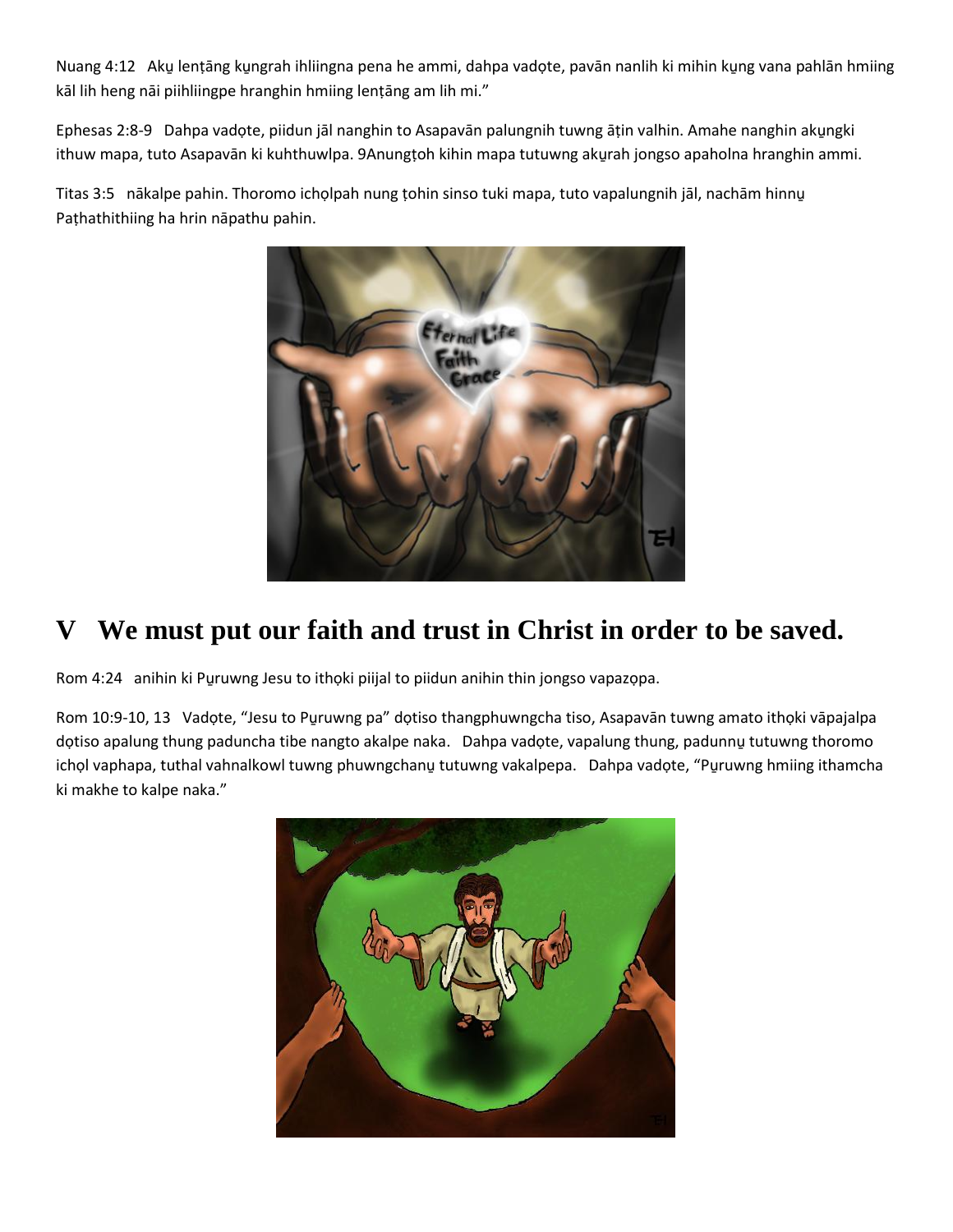Nuang 4:12 Aku̯ lenṭāng ku̯ngrah ihliingna pena he ammi, dahpa vadọte, pavān nanlih ki mihin ku̯ng vana pahlān hmiing kāl lih heng nāi piihliingpe hranghin hmiing lenṭāng am lih mi."

Ephesas 2:8-9 Dahpa vadote, piidun jāl nanghin to Asapavān palungnih tuwng ātin valhin. Amahe nanghin akungki ithuw mapa, tuto Asapavān ki kuhthuwlpa. 9Anungṭoh kihin mapa tutuwng aku̯rah jongso apaholna hranghin ammi.

Titas 3:5 nākalpe pahin. Thoromo ichọlpah nung ṭohin sinso tuki mapa, tuto vapalungnih jāl, nachām hinnu̱ Paṭhathithiing ha hrin nāpathu pahin.



#### **V We must put our faith and trust in Christ in order to be saved.**

Rom 4:24 anihin ki Pu̱ruwng Jesu to ithọki piijal to piidun anihin thin jongso vapazọpa.

Rom 10:9-10, 13 Vadọte, "Jesu to Puruwng pa" dọtiso thangphuwngcha tiso, Asapavān tuwng amato ithọki vāpajalpa dọtiso apalung thung paduncha tibe nangto akalpe naka. Dahpa vadọte, vapalung thung, padunnu tutuwng thoromo ichọl vaphapa, tuthal vahnalkowl tuwng phuwngchanu̯ tutuwng vakalpepa. Dahpa vadọte, "Pu̯ruwng hmiing ithamcha ki makhe to kalpe naka."